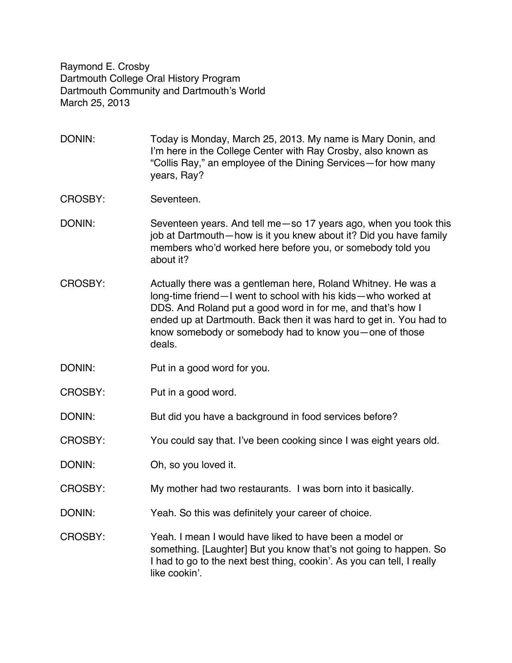Raymond E. Crosby Dartmouth College Oral History Program Dartmouth Community and Dartmouth's World March 25, 2013

- DONIN: Today is Monday, March 25, 2013. My name is Mary Donin, and I'm here in the College Center with Ray Crosby, also known as "Collis Ray," an employee of the Dining Services—for how many years, Ray?
- CROSBY: Seventeen.
- DONIN: Seventeen years. And tell me—so 17 years ago, when you took this job at Dartmouth—how is it you knew about it? Did you have family members who'd worked here before you, or somebody told you about it?
- CROSBY: Actually there was a gentleman here, Roland Whitney. He was a long-time friend—I went to school with his kids—who worked at DDS. And Roland put a good word in for me, and that's how I ended up at Dartmouth. Back then it was hard to get in. You had to know somebody or somebody had to know you—one of those deals.
- DONIN: Put in a good word for you.
- CROSBY: Put in a good word.
- DONIN: But did you have a background in food services before?
- CROSBY: You could say that. I've been cooking since I was eight years old.
- DONIN: Oh, so you loved it.
- CROSBY: My mother had two restaurants. I was born into it basically.
- DONIN: Yeah. So this was definitely your career of choice.
- CROSBY: Yeah. I mean I would have liked to have been a model or something. [Laughter] But you know that's not going to happen. So I had to go to the next best thing, cookin'. As you can tell, I really like cookin'.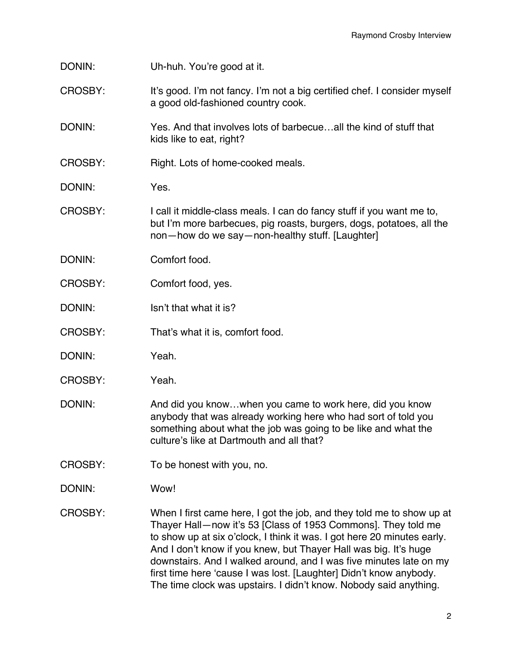DONIN: Uh-huh. You're good at it.

- CROSBY: It's good. I'm not fancy. I'm not a big certified chef. I consider myself a good old-fashioned country cook.
- DONIN: Yes. And that involves lots of barbecue…all the kind of stuff that kids like to eat, right?
- CROSBY: Right. Lots of home-cooked meals.
- DONIN: Yes.
- CROSBY: I call it middle-class meals. I can do fancy stuff if you want me to, but I'm more barbecues, pig roasts, burgers, dogs, potatoes, all the non—how do we say—non-healthy stuff. [Laughter]
- DONIN: Comfort food.
- CROSBY: Comfort food, yes.
- DONIN: Isn't that what it is?
- CROSBY: That's what it is, comfort food.
- DONIN: Yeah.
- CROSBY: Yeah.
- DONIN: And did you know…when you came to work here, did you know anybody that was already working here who had sort of told you something about what the job was going to be like and what the culture's like at Dartmouth and all that?
- CROSBY: To be honest with you, no.
- DONIN: Wow!
- CROSBY: When I first came here, I got the job, and they told me to show up at Thayer Hall—now it's 53 [Class of 1953 Commons]. They told me to show up at six o'clock, I think it was. I got here 20 minutes early. And I don't know if you knew, but Thayer Hall was big. It's huge downstairs. And I walked around, and I was five minutes late on my first time here 'cause I was lost. [Laughter] Didn't know anybody. The time clock was upstairs. I didn't know. Nobody said anything.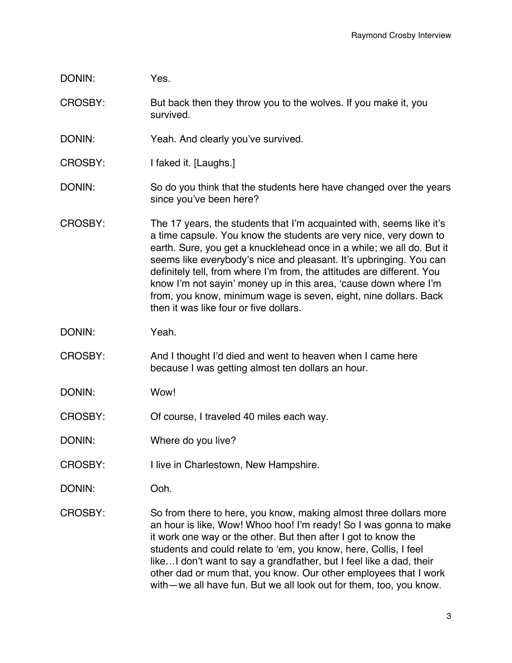## DONIN: Yes.

- CROSBY: But back then they throw you to the wolves. If you make it, you survived.
- DONIN: Yeah. And clearly you've survived.
- CROSBY: I faked it. [Laughs.]
- DONIN: So do you think that the students here have changed over the years since you've been here?
- CROSBY: The 17 years, the students that I'm acquainted with, seems like it's a time capsule. You know the students are very nice, very down to earth. Sure, you get a knucklehead once in a while; we all do. But it seems like everybody's nice and pleasant. It's upbringing. You can definitely tell, from where I'm from, the attitudes are different. You know I'm not sayin' money up in this area, 'cause down where I'm from, you know, minimum wage is seven, eight, nine dollars. Back then it was like four or five dollars.
- DONIN: Yeah.
- CROSBY: And I thought I'd died and went to heaven when I came here because I was getting almost ten dollars an hour.
- DONIN: Wow!
- CROSBY: Of course, I traveled 40 miles each way.
- DONIN: Where do you live?
- CROSBY: I live in Charlestown, New Hampshire.
- DONIN: Ooh.
- CROSBY: So from there to here, you know, making almost three dollars more an hour is like, Wow! Whoo hoo! I'm ready! So I was gonna to make it work one way or the other. But then after I got to know the students and could relate to 'em, you know, here, Collis, I feel like…I don't want to say a grandfather, but I feel like a dad, their other dad or mum that, you know. Our other employees that I work with—we all have fun. But we all look out for them, too, you know.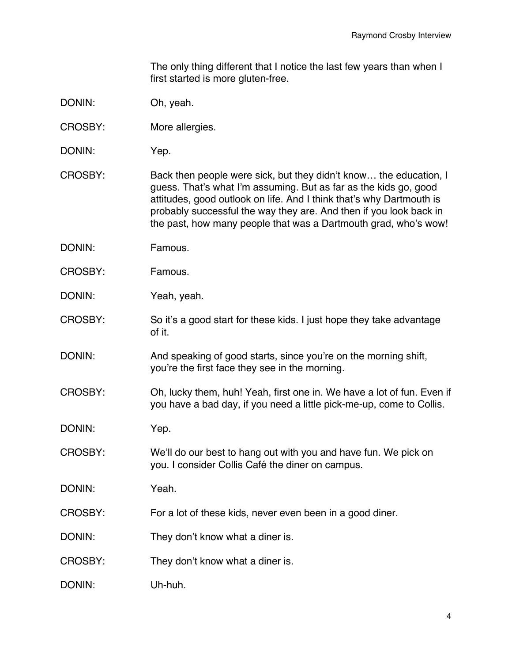The only thing different that I notice the last few years than when I first started is more gluten-free.

- DONIN: Oh, yeah.
- CROSBY: More allergies.
- DONIN: Yep.
- CROSBY: Back then people were sick, but they didn't know… the education, I guess. That's what I'm assuming. But as far as the kids go, good attitudes, good outlook on life. And I think that's why Dartmouth is probably successful the way they are. And then if you look back in the past, how many people that was a Dartmouth grad, who's wow!
- DONIN: Famous.
- CROSBY: Famous.
- DONIN: Yeah, yeah.
- CROSBY: So it's a good start for these kids. I just hope they take advantage of it.
- DONIN: And speaking of good starts, since you're on the morning shift, you're the first face they see in the morning.
- CROSBY: Oh, lucky them, huh! Yeah, first one in. We have a lot of fun. Even if you have a bad day, if you need a little pick-me-up, come to Collis.
- DONIN: Yep.
- CROSBY: We'll do our best to hang out with you and have fun. We pick on you. I consider Collis Café the diner on campus.
- DONIN: Yeah.
- CROSBY: For a lot of these kids, never even been in a good diner.
- DONIN: They don't know what a diner is.
- CROSBY: They don't know what a diner is.
- DONIN: Uh-huh.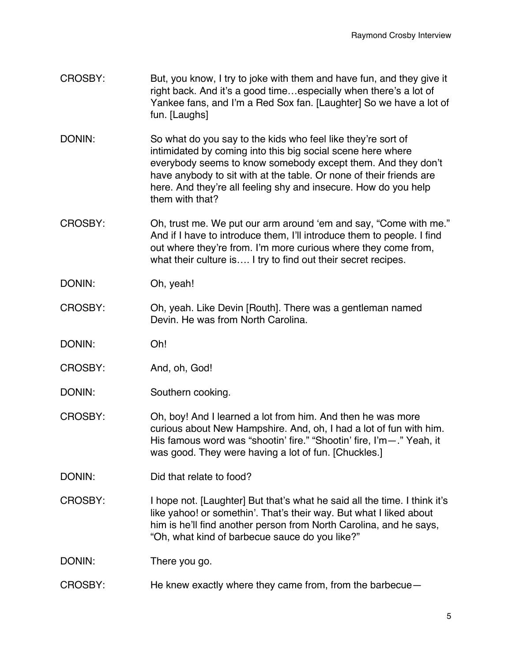- CROSBY: But, you know, I try to joke with them and have fun, and they give it right back. And it's a good time…especially when there's a lot of Yankee fans, and I'm a Red Sox fan. [Laughter] So we have a lot of fun. [Laughs]
- DONIN: So what do you say to the kids who feel like they're sort of intimidated by coming into this big social scene here where everybody seems to know somebody except them. And they don't have anybody to sit with at the table. Or none of their friends are here. And they're all feeling shy and insecure. How do you help them with that?
- CROSBY: Oh, trust me. We put our arm around 'em and say, "Come with me." And if I have to introduce them, I'll introduce them to people. I find out where they're from. I'm more curious where they come from, what their culture is…. I try to find out their secret recipes.
- DONIN: Oh, yeah!
- CROSBY: Oh, yeah. Like Devin [Routh]. There was a gentleman named Devin. He was from North Carolina.
- DONIN: Oh!
- CROSBY: And, oh, God!
- DONIN: Southern cooking.
- CROSBY: Oh, boy! And I learned a lot from him. And then he was more curious about New Hampshire. And, oh, I had a lot of fun with him. His famous word was "shootin' fire." "Shootin' fire, I'm-." Yeah, it was good. They were having a lot of fun. [Chuckles.]
- DONIN: Did that relate to food?
- CROSBY: I hope not. [Laughter] But that's what he said all the time. I think it's like yahoo! or somethin'. That's their way. But what I liked about him is he'll find another person from North Carolina, and he says, "Oh, what kind of barbecue sauce do you like?"

DONIN: There you go.

CROSBY: He knew exactly where they came from, from the barbecue—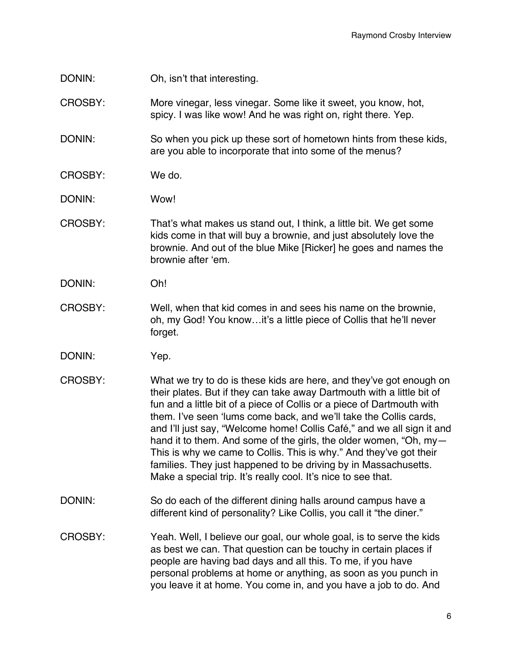DONIN: Oh, isn't that interesting.

CROSBY: More vinegar, less vinegar. Some like it sweet, you know, hot, spicy. I was like wow! And he was right on, right there. Yep.

DONIN: So when you pick up these sort of hometown hints from these kids, are you able to incorporate that into some of the menus?

- CROSBY: We do.
- DONIN: Wow!
- CROSBY: That's what makes us stand out, I think, a little bit. We get some kids come in that will buy a brownie, and just absolutely love the brownie. And out of the blue Mike [Ricker] he goes and names the brownie after 'em.
- DONIN: Oh!
- CROSBY: Well, when that kid comes in and sees his name on the brownie, oh, my God! You know…it's a little piece of Collis that he'll never forget.
- DONIN: Yep.
- CROSBY: What we try to do is these kids are here, and they've got enough on their plates. But if they can take away Dartmouth with a little bit of fun and a little bit of a piece of Collis or a piece of Dartmouth with them. I've seen 'lums come back, and we'll take the Collis cards, and I'll just say, "Welcome home! Collis Café," and we all sign it and hand it to them. And some of the girls, the older women, "Oh, my— This is why we came to Collis. This is why." And they've got their families. They just happened to be driving by in Massachusetts. Make a special trip. It's really cool. It's nice to see that.
- DONIN: So do each of the different dining halls around campus have a different kind of personality? Like Collis, you call it "the diner."
- CROSBY: Yeah. Well, I believe our goal, our whole goal, is to serve the kids as best we can. That question can be touchy in certain places if people are having bad days and all this. To me, if you have personal problems at home or anything, as soon as you punch in you leave it at home. You come in, and you have a job to do. And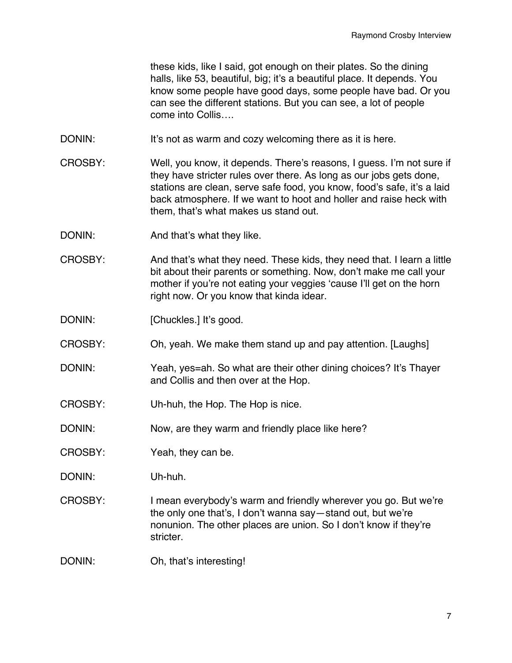these kids, like I said, got enough on their plates. So the dining halls, like 53, beautiful, big; it's a beautiful place. It depends. You know some people have good days, some people have bad. Or you can see the different stations. But you can see, a lot of people come into Collis….

- DONIN: It's not as warm and cozy welcoming there as it is here.
- CROSBY: Well, you know, it depends. There's reasons, I guess. I'm not sure if they have stricter rules over there. As long as our jobs gets done, stations are clean, serve safe food, you know, food's safe, it's a laid back atmosphere. If we want to hoot and holler and raise heck with them, that's what makes us stand out.
- DONIN: And that's what they like.
- CROSBY: And that's what they need. These kids, they need that. I learn a little bit about their parents or something. Now, don't make me call your mother if you're not eating your veggies 'cause I'll get on the horn right now. Or you know that kinda idear.
- DONIN: [Chuckles.] It's good.
- CROSBY: Oh, yeah. We make them stand up and pay attention. [Laughs]
- DONIN: Yeah, yes=ah. So what are their other dining choices? It's Thayer and Collis and then over at the Hop.
- CROSBY: Uh-huh, the Hop. The Hop is nice.
- DONIN: Now, are they warm and friendly place like here?
- CROSBY: Yeah, they can be.
- DONIN: Uh-huh.
- CROSBY: I mean everybody's warm and friendly wherever you go. But we're the only one that's, I don't wanna say—stand out, but we're nonunion. The other places are union. So I don't know if they're stricter.
- DONIN: Oh, that's interesting!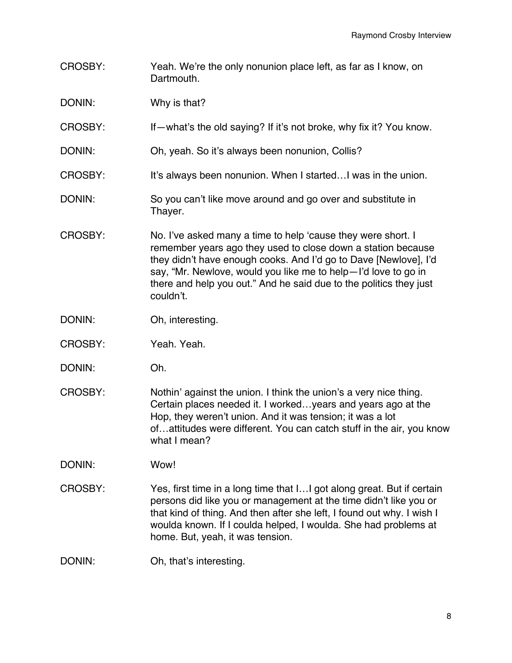- CROSBY: Yeah. We're the only nonunion place left, as far as I know, on Dartmouth.
- DONIN: Why is that?
- CROSBY: If—what's the old saying? If it's not broke, why fix it? You know.
- DONIN: Oh, yeah. So it's always been nonunion, Collis?
- CROSBY: It's always been nonunion. When I started…I was in the union.
- DONIN: So you can't like move around and go over and substitute in Thayer.
- CROSBY: No. I've asked many a time to help 'cause they were short. I remember years ago they used to close down a station because they didn't have enough cooks. And I'd go to Dave [Newlove], I'd say, "Mr. Newlove, would you like me to help—I'd love to go in there and help you out." And he said due to the politics they just couldn't.
- DONIN: Oh, interesting.
- CROSBY: Yeah. Yeah.
- DONIN: Oh.
- CROSBY: Nothin' against the union. I think the union's a very nice thing. Certain places needed it. I worked…years and years ago at the Hop, they weren't union. And it was tension; it was a lot of…attitudes were different. You can catch stuff in the air, you know what I mean?

DONIN: Wow!

- CROSBY: Yes, first time in a long time that I…I got along great. But if certain persons did like you or management at the time didn't like you or that kind of thing. And then after she left, I found out why. I wish I woulda known. If I coulda helped, I woulda. She had problems at home. But, yeah, it was tension.
- DONIN: Oh, that's interesting.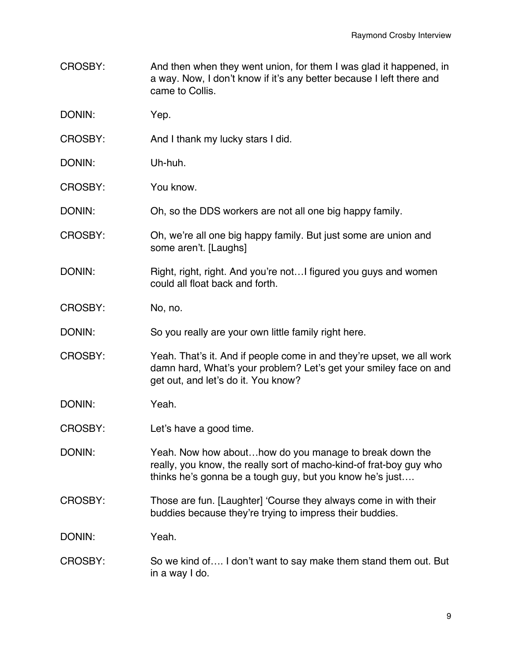- CROSBY: And then when they went union, for them I was glad it happened, in a way. Now, I don't know if it's any better because I left there and came to Collis.
- DONIN: Yep.
- CROSBY: And I thank my lucky stars I did.
- DONIN: Uh-huh.
- CROSBY: You know.
- DONIN: Oh, so the DDS workers are not all one big happy family.
- CROSBY: Oh, we're all one big happy family. But just some are union and some aren't. [Laughs]
- DONIN: Right, right, right. And you're not...I figured you guys and women could all float back and forth.
- CROSBY: No, no.
- DONIN: So you really are your own little family right here.
- CROSBY: Yeah. That's it. And if people come in and they're upset, we all work damn hard, What's your problem? Let's get your smiley face on and get out, and let's do it. You know?
- DONIN: Yeah.
- CROSBY: Let's have a good time.
- DONIN: Yeah. Now how about…how do you manage to break down the really, you know, the really sort of macho-kind-of frat-boy guy who thinks he's gonna be a tough guy, but you know he's just….
- CROSBY: Those are fun. [Laughter] 'Course they always come in with their buddies because they're trying to impress their buddies.

DONIN: Yeah.

CROSBY: So we kind of…. I don't want to say make them stand them out. But in a way I do.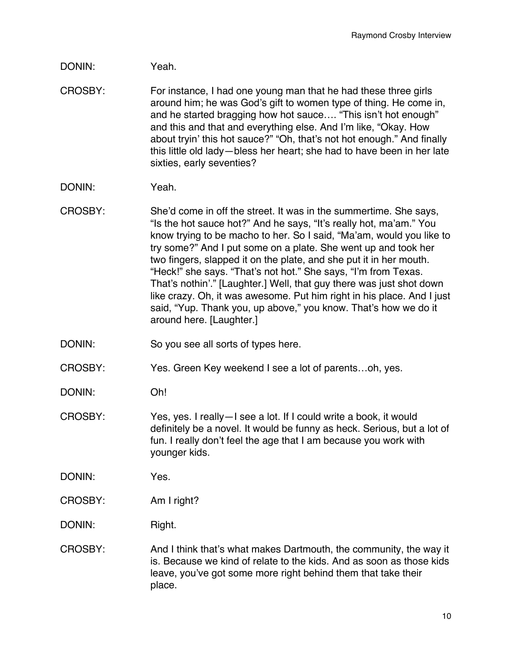- DONIN: Yeah.
- CROSBY: For instance, I had one young man that he had these three girls around him; he was God's gift to women type of thing. He come in, and he started bragging how hot sauce…. "This isn't hot enough" and this and that and everything else. And I'm like, "Okay. How about tryin' this hot sauce?" "Oh, that's not hot enough." And finally this little old lady—bless her heart; she had to have been in her late sixties, early seventies?
- DONIN: Yeah.
- CROSBY: She'd come in off the street. It was in the summertime. She says, "Is the hot sauce hot?" And he says, "It's really hot, ma'am." You know trying to be macho to her. So I said, "Ma'am, would you like to try some?" And I put some on a plate. She went up and took her two fingers, slapped it on the plate, and she put it in her mouth. "Heck!" she says. "That's not hot." She says, "I'm from Texas. That's nothin'." [Laughter.] Well, that guy there was just shot down like crazy. Oh, it was awesome. Put him right in his place. And I just said, "Yup. Thank you, up above," you know. That's how we do it around here. [Laughter.]
- DONIN: So you see all sorts of types here.
- CROSBY: Yes. Green Key weekend I see a lot of parents…oh, yes.
- DONIN: Oh!
- CROSBY: Yes, yes. I really—I see a lot. If I could write a book, it would definitely be a novel. It would be funny as heck. Serious, but a lot of fun. I really don't feel the age that I am because you work with younger kids.

DONIN: Yes.

- CROSBY: Am I right?
- DONIN: Right.
- CROSBY: And I think that's what makes Dartmouth, the community, the way it is. Because we kind of relate to the kids. And as soon as those kids leave, you've got some more right behind them that take their place.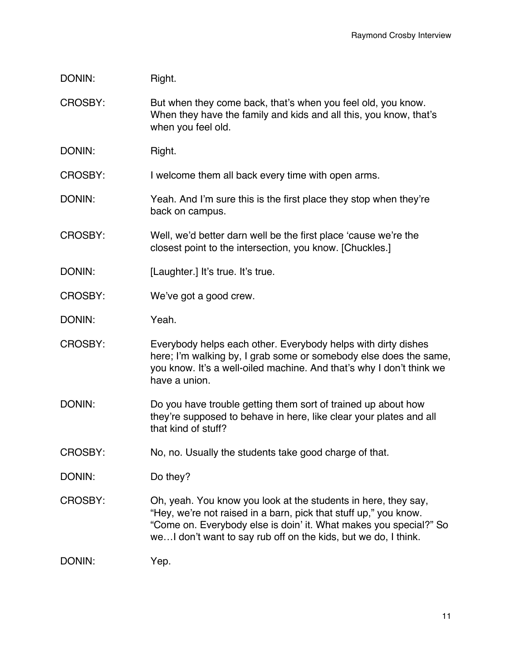## DONIN: Right.

- CROSBY: But when they come back, that's when you feel old, you know. When they have the family and kids and all this, you know, that's when you feel old.
- DONIN: Right.

CROSBY: I welcome them all back every time with open arms.

- DONIN: Yeah. And I'm sure this is the first place they stop when they're back on campus.
- CROSBY: Well, we'd better darn well be the first place 'cause we're the closest point to the intersection, you know. [Chuckles.]
- DONIN: [Laughter.] It's true. It's true.
- CROSBY: We've got a good crew.
- DONIN: Yeah.
- CROSBY: Everybody helps each other. Everybody helps with dirty dishes here; I'm walking by, I grab some or somebody else does the same, you know. It's a well-oiled machine. And that's why I don't think we have a union.
- DONIN: Do you have trouble getting them sort of trained up about how they're supposed to behave in here, like clear your plates and all that kind of stuff?
- CROSBY: No, no. Usually the students take good charge of that.
- DONIN: Do they?
- CROSBY: Oh, yeah. You know you look at the students in here, they say, "Hey, we're not raised in a barn, pick that stuff up," you know. "Come on. Everybody else is doin' it. What makes you special?" So we…I don't want to say rub off on the kids, but we do, I think.

DONIN: Yep.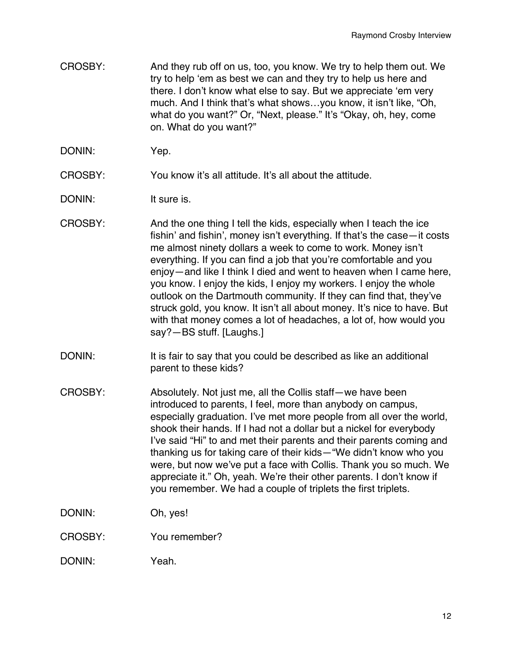- CROSBY: And they rub off on us, too, you know. We try to help them out. We try to help 'em as best we can and they try to help us here and there. I don't know what else to say. But we appreciate 'em very much. And I think that's what shows…you know, it isn't like, "Oh, what do you want?" Or, "Next, please." It's "Okay, oh, hey, come on. What do you want?"
- DONIN: Yep.

CROSBY: You know it's all attitude. It's all about the attitude.

- DONIN: It sure is.
- CROSBY: And the one thing I tell the kids, especially when I teach the ice fishin' and fishin', money isn't everything. If that's the case—it costs me almost ninety dollars a week to come to work. Money isn't everything. If you can find a job that you're comfortable and you enjoy—and like I think I died and went to heaven when I came here, you know. I enjoy the kids, I enjoy my workers. I enjoy the whole outlook on the Dartmouth community. If they can find that, they've struck gold, you know. It isn't all about money. It's nice to have. But with that money comes a lot of headaches, a lot of, how would you say?—BS stuff. [Laughs.]
- DONIN: It is fair to say that you could be described as like an additional parent to these kids?
- CROSBY: Absolutely. Not just me, all the Collis staff—we have been introduced to parents, I feel, more than anybody on campus, especially graduation. I've met more people from all over the world, shook their hands. If I had not a dollar but a nickel for everybody I've said "Hi" to and met their parents and their parents coming and thanking us for taking care of their kids—"We didn't know who you were, but now we've put a face with Collis. Thank you so much. We appreciate it." Oh, yeah. We're their other parents. I don't know if you remember. We had a couple of triplets the first triplets.
- DONIN: Oh, yes!
- CROSBY: You remember?
- DONIN: Yeah.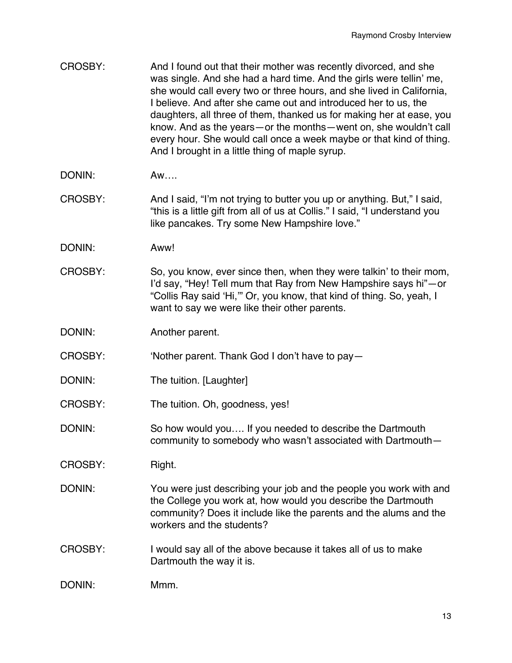| CROSBY: | And I found out that their mother was recently divorced, and she      |
|---------|-----------------------------------------------------------------------|
|         | was single. And she had a hard time. And the girls were tellin' me,   |
|         | she would call every two or three hours, and she lived in California, |
|         | I believe. And after she came out and introduced her to us, the       |
|         | daughters, all three of them, thanked us for making her at ease, you  |
|         | know. And as the years – or the months – went on, she wouldn't call   |
|         | every hour. She would call once a week maybe or that kind of thing.   |
|         | And I brought in a little thing of maple syrup.                       |

- DONIN: Aw
- CROSBY: And I said, "I'm not trying to butter you up or anything. But," I said, "this is a little gift from all of us at Collis." I said, "I understand you like pancakes. Try some New Hampshire love."
- DONIN: Aww!
- CROSBY: So, you know, ever since then, when they were talkin' to their mom, I'd say, "Hey! Tell mum that Ray from New Hampshire says hi"—or "Collis Ray said 'Hi,'" Or, you know, that kind of thing. So, yeah, I want to say we were like their other parents.
- DONIN: Another parent.
- CROSBY: 'Nother parent. Thank God I don't have to pay—
- DONIN: The tuition. [Laughter]
- CROSBY: The tuition. Oh, goodness, yes!
- DONIN: So how would you…. If you needed to describe the Dartmouth community to somebody who wasn't associated with Dartmouth—
- CROSBY: Right.
- DONIN: You were just describing your job and the people you work with and the College you work at, how would you describe the Dartmouth community? Does it include like the parents and the alums and the workers and the students?
- CROSBY: I would say all of the above because it takes all of us to make Dartmouth the way it is.
- DONIN: Mmm.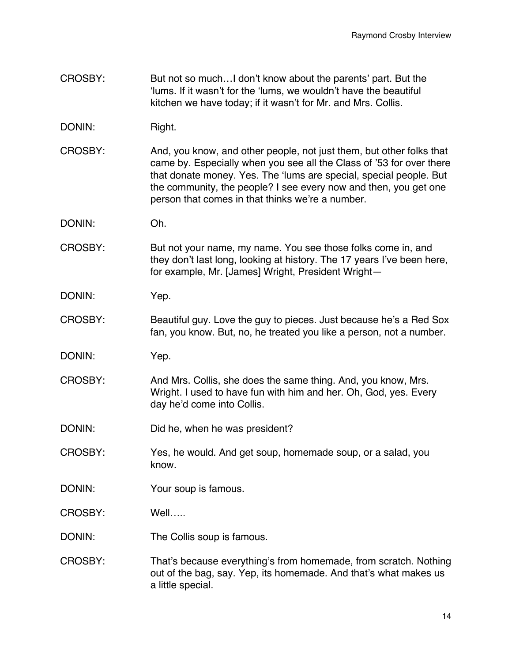- CROSBY: But not so much…I don't know about the parents' part. But the 'lums. If it wasn't for the 'lums, we wouldn't have the beautiful kitchen we have today; if it wasn't for Mr. and Mrs. Collis.
- DONIN: Right.
- CROSBY: And, you know, and other people, not just them, but other folks that came by. Especially when you see all the Class of '53 for over there that donate money. Yes. The 'lums are special, special people. But the community, the people? I see every now and then, you get one person that comes in that thinks we're a number.
- DONIN: Oh.
- CROSBY: But not your name, my name. You see those folks come in, and they don't last long, looking at history. The 17 years I've been here, for example, Mr. [James] Wright, President Wright—
- DONIN: Yep.
- CROSBY: Beautiful guy. Love the guy to pieces. Just because he's a Red Sox fan, you know. But, no, he treated you like a person, not a number.
- DONIN: Yep.
- CROSBY: And Mrs. Collis, she does the same thing. And, you know, Mrs. Wright. I used to have fun with him and her. Oh, God, yes. Every day he'd come into Collis.
- DONIN: Did he, when he was president?
- CROSBY: Yes, he would. And get soup, homemade soup, or a salad, you know.
- DONIN: Your soup is famous.
- CROSBY: Well…..
- DONIN: The Collis soup is famous.
- CROSBY: That's because everything's from homemade, from scratch. Nothing out of the bag, say. Yep, its homemade. And that's what makes us a little special.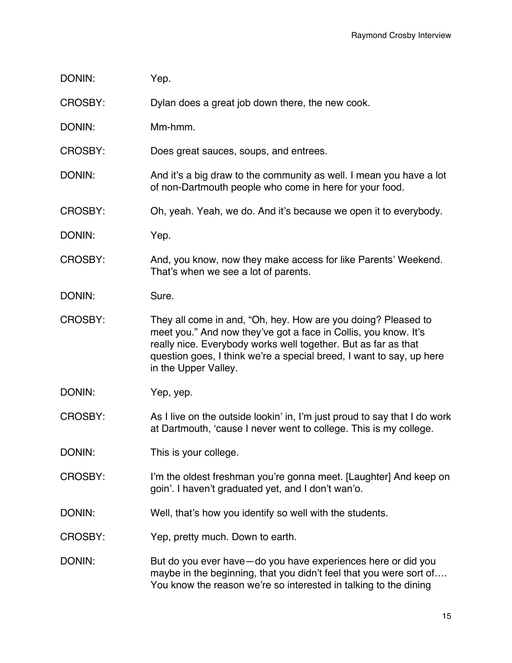| DONIN: | Yep. |
|--------|------|
|--------|------|

CROSBY: Dylan does a great job down there, the new cook.

DONIN: Mm-hmm.

CROSBY: Does great sauces, soups, and entrees.

DONIN: And it's a big draw to the community as well. I mean you have a lot of non-Dartmouth people who come in here for your food.

CROSBY: Oh, yeah. Yeah, we do. And it's because we open it to everybody.

DONIN: Yep.

CROSBY: And, you know, now they make access for like Parents' Weekend. That's when we see a lot of parents.

DONIN: Sure.

CROSBY: They all come in and, "Oh, hey. How are you doing? Pleased to meet you." And now they've got a face in Collis, you know. It's really nice. Everybody works well together. But as far as that question goes, I think we're a special breed, I want to say, up here in the Upper Valley.

DONIN: Yep, yep.

CROSBY: As I live on the outside lookin' in, I'm just proud to say that I do work at Dartmouth, 'cause I never went to college. This is my college.

DONIN: This is your college.

CROSBY: I'm the oldest freshman you're gonna meet. [Laughter] And keep on goin'. I haven't graduated yet, and I don't wan'o.

DONIN: Well, that's how you identify so well with the students.

CROSBY: Yep, pretty much. Down to earth.

DONIN: But do you ever have—do you have experiences here or did you maybe in the beginning, that you didn't feel that you were sort of…. You know the reason we're so interested in talking to the dining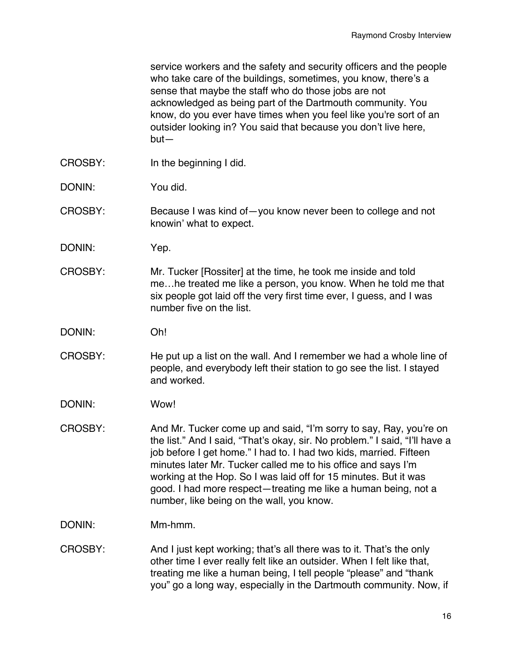service workers and the safety and security officers and the people who take care of the buildings, sometimes, you know, there's a sense that maybe the staff who do those jobs are not acknowledged as being part of the Dartmouth community. You know, do you ever have times when you feel like you're sort of an outsider looking in? You said that because you don't live here, but—

- CROSBY: In the beginning I did.
- DONIN: You did.
- CROSBY: Because I was kind of—you know never been to college and not knowin' what to expect.
- DONIN: Yep.
- CROSBY: Mr. Tucker [Rossiter] at the time, he took me inside and told me…he treated me like a person, you know. When he told me that six people got laid off the very first time ever, I guess, and I was number five on the list.
- DONIN: Oh!
- CROSBY: He put up a list on the wall. And I remember we had a whole line of people, and everybody left their station to go see the list. I stayed and worked.
- DONIN: Wow!
- CROSBY: And Mr. Tucker come up and said, "I'm sorry to say, Ray, you're on the list." And I said, "That's okay, sir. No problem." I said, "I'll have a job before I get home." I had to. I had two kids, married. Fifteen minutes later Mr. Tucker called me to his office and says I'm working at the Hop. So I was laid off for 15 minutes. But it was good. I had more respect—treating me like a human being, not a number, like being on the wall, you know.
- DONIN: Mm-hmm.
- CROSBY: And I just kept working; that's all there was to it. That's the only other time I ever really felt like an outsider. When I felt like that, treating me like a human being, I tell people "please" and "thank you" go a long way, especially in the Dartmouth community. Now, if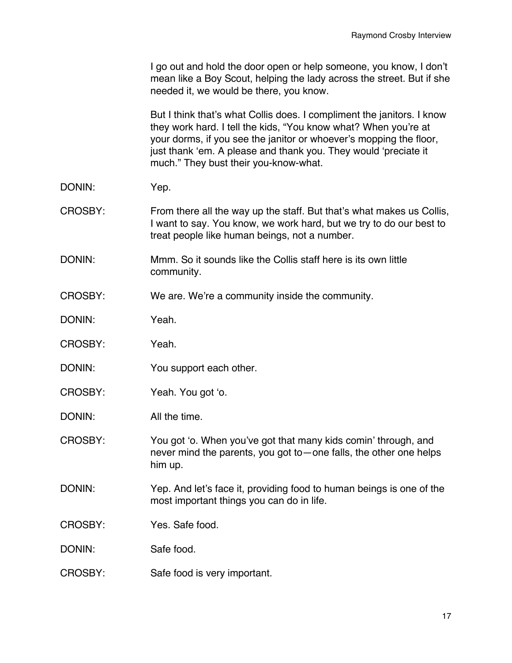|                | I go out and hold the door open or help someone, you know, I don't<br>mean like a Boy Scout, helping the lady across the street. But if she<br>needed it, we would be there, you know.                                                                                                                                      |
|----------------|-----------------------------------------------------------------------------------------------------------------------------------------------------------------------------------------------------------------------------------------------------------------------------------------------------------------------------|
|                | But I think that's what Collis does. I compliment the janitors. I know<br>they work hard. I tell the kids, "You know what? When you're at<br>your dorms, if you see the janitor or whoever's mopping the floor,<br>just thank 'em. A please and thank you. They would 'preciate it<br>much." They bust their you-know-what. |
| DONIN:         | Yep.                                                                                                                                                                                                                                                                                                                        |
| <b>CROSBY:</b> | From there all the way up the staff. But that's what makes us Collis,<br>I want to say. You know, we work hard, but we try to do our best to<br>treat people like human beings, not a number.                                                                                                                               |
| DONIN:         | Mmm. So it sounds like the Collis staff here is its own little<br>community.                                                                                                                                                                                                                                                |
| CROSBY:        | We are. We're a community inside the community.                                                                                                                                                                                                                                                                             |
| DONIN:         | Yeah.                                                                                                                                                                                                                                                                                                                       |
| CROSBY:        | Yeah.                                                                                                                                                                                                                                                                                                                       |
| DONIN:         | You support each other.                                                                                                                                                                                                                                                                                                     |
| CROSBY:        | Yeah. You got 'o.                                                                                                                                                                                                                                                                                                           |
| DONIN:         | All the time.                                                                                                                                                                                                                                                                                                               |
| CROSBY:        | You got 'o. When you've got that many kids comin' through, and<br>never mind the parents, you got to – one falls, the other one helps<br>him up.                                                                                                                                                                            |
| DONIN:         | Yep. And let's face it, providing food to human beings is one of the<br>most important things you can do in life.                                                                                                                                                                                                           |
| CROSBY:        | Yes. Safe food.                                                                                                                                                                                                                                                                                                             |
| DONIN:         | Safe food.                                                                                                                                                                                                                                                                                                                  |
| CROSBY:        | Safe food is very important.                                                                                                                                                                                                                                                                                                |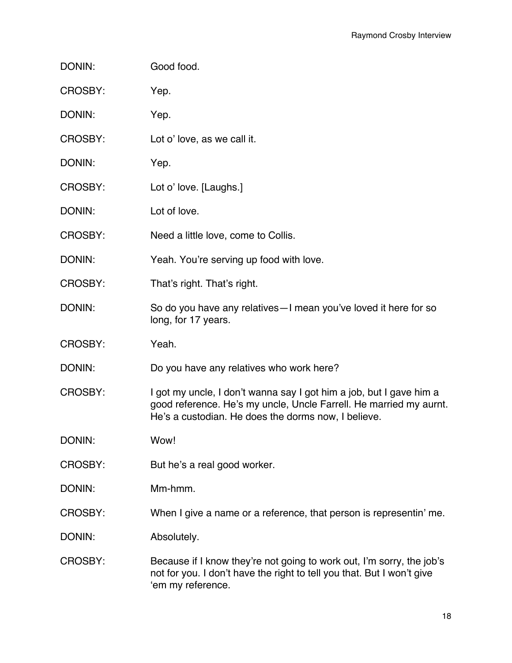| DONIN:         | Good food.                                                                                                                                                                                       |
|----------------|--------------------------------------------------------------------------------------------------------------------------------------------------------------------------------------------------|
| CROSBY:        | Yep.                                                                                                                                                                                             |
| DONIN:         | Yep.                                                                                                                                                                                             |
| CROSBY:        | Lot o' love, as we call it.                                                                                                                                                                      |
| DONIN:         | Yep.                                                                                                                                                                                             |
| CROSBY:        | Lot o' love. [Laughs.]                                                                                                                                                                           |
| DONIN:         | Lot of love.                                                                                                                                                                                     |
| CROSBY:        | Need a little love, come to Collis.                                                                                                                                                              |
| DONIN:         | Yeah. You're serving up food with love.                                                                                                                                                          |
| CROSBY:        | That's right. That's right.                                                                                                                                                                      |
| DONIN:         | So do you have any relatives - I mean you've loved it here for so<br>long, for 17 years.                                                                                                         |
| CROSBY:        | Yeah.                                                                                                                                                                                            |
| DONIN:         | Do you have any relatives who work here?                                                                                                                                                         |
| CROSBY:        | I got my uncle, I don't wanna say I got him a job, but I gave him a<br>good reference. He's my uncle, Uncle Farrell. He married my aurnt.<br>He's a custodian. He does the dorms now, I believe. |
| DONIN:         | Wow!                                                                                                                                                                                             |
| CROSBY:        | But he's a real good worker.                                                                                                                                                                     |
| DONIN:         | Mm-hmm.                                                                                                                                                                                          |
| <b>CROSBY:</b> | When I give a name or a reference, that person is representin' me.                                                                                                                               |
| DONIN:         | Absolutely.                                                                                                                                                                                      |
| CROSBY:        | Because if I know they're not going to work out, I'm sorry, the job's<br>not for you. I don't have the right to tell you that. But I won't give<br>'em my reference.                             |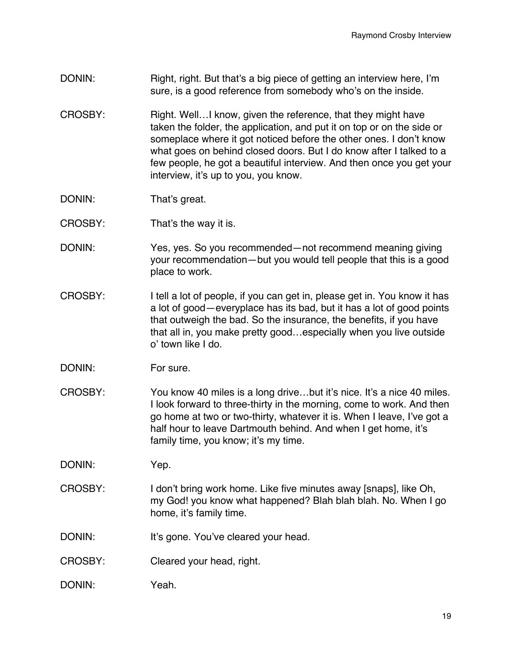- DONIN: Right, right. But that's a big piece of getting an interview here, I'm sure, is a good reference from somebody who's on the inside.
- CROSBY: Right. Well...I know, given the reference, that they might have taken the folder, the application, and put it on top or on the side or someplace where it got noticed before the other ones. I don't know what goes on behind closed doors. But I do know after I talked to a few people, he got a beautiful interview. And then once you get your interview, it's up to you, you know.
- DONIN: That's great.
- CROSBY: That's the way it is.
- DONIN: Yes, yes. So you recommended—not recommend meaning giving your recommendation—but you would tell people that this is a good place to work.
- CROSBY: I tell a lot of people, if you can get in, please get in. You know it has a lot of good—everyplace has its bad, but it has a lot of good points that outweigh the bad. So the insurance, the benefits, if you have that all in, you make pretty good…especially when you live outside o' town like I do.
- DONIN: For sure.
- CROSBY: You know 40 miles is a long drive…but it's nice. It's a nice 40 miles. I look forward to three-thirty in the morning, come to work. And then go home at two or two-thirty, whatever it is. When I leave, I've got a half hour to leave Dartmouth behind. And when I get home, it's family time, you know; it's my time.

DONIN: Yep.

- CROSBY: I don't bring work home. Like five minutes away [snaps], like Oh, my God! you know what happened? Blah blah blah. No. When I go home, it's family time.
- DONIN: It's gone. You've cleared your head.
- CROSBY: Cleared your head, right.
- DONIN: Yeah.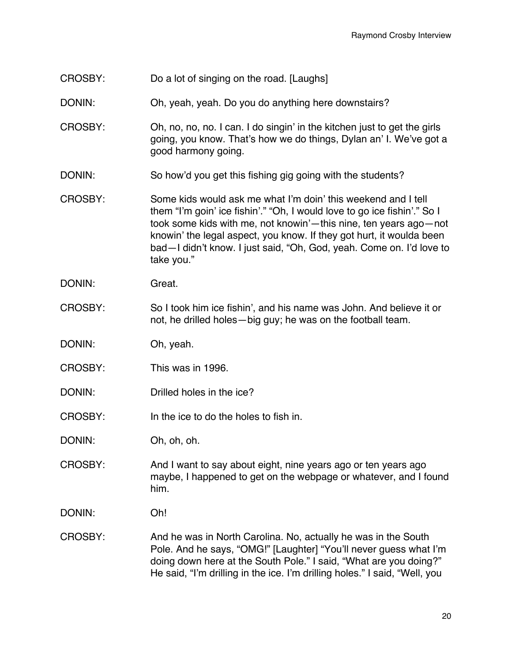- CROSBY: Do a lot of singing on the road. [Laughs]
- DONIN: Oh, yeah, yeah. Do you do anything here downstairs?
- CROSBY: Oh, no, no, no. I can. I do singin' in the kitchen just to get the girls going, you know. That's how we do things, Dylan an' I. We've got a good harmony going.
- DONIN: So how'd you get this fishing gig going with the students?
- CROSBY: Some kids would ask me what I'm doin' this weekend and I tell them "I'm goin' ice fishin'." "Oh, I would love to go ice fishin'." So I took some kids with me, not knowin'—this nine, ten years ago—not knowin' the legal aspect, you know. If they got hurt, it woulda been bad—I didn't know. I just said, "Oh, God, yeah. Come on. I'd love to take you."
- DONIN: Great.
- CROSBY: So I took him ice fishin', and his name was John. And believe it or not, he drilled holes—big guy; he was on the football team.
- DONIN: Oh, yeah.
- CROSBY: This was in 1996.
- DONIN: Drilled holes in the ice?
- CROSBY: In the ice to do the holes to fish in.
- DONIN: Oh, oh, oh.
- CROSBY: And I want to say about eight, nine years ago or ten years ago maybe, I happened to get on the webpage or whatever, and I found him.
- DONIN: Oh!
- CROSBY: And he was in North Carolina. No, actually he was in the South Pole. And he says, "OMG!" [Laughter] "You'll never guess what I'm doing down here at the South Pole." I said, "What are you doing?" He said, "I'm drilling in the ice. I'm drilling holes." I said, "Well, you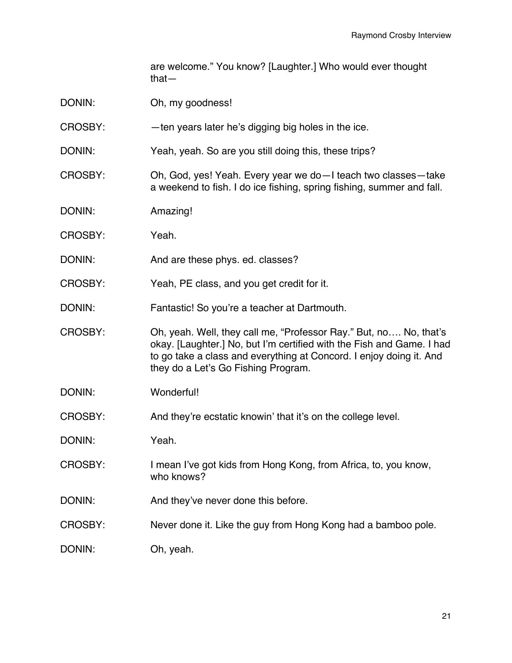are welcome." You know? [Laughter.] Who would ever thought that—

- DONIN: Oh, my goodness!
- CROSBY: —ten years later he's digging big holes in the ice.
- DONIN: Yeah, yeah. So are you still doing this, these trips?
- CROSBY: Oh, God, yes! Yeah. Every year we do—I teach two classes—take a weekend to fish. I do ice fishing, spring fishing, summer and fall.
- DONIN: Amazing!
- CROSBY: Yeah.
- DONIN: And are these phys. ed. classes?
- CROSBY: Yeah, PE class, and you get credit for it.
- DONIN: Fantastic! So you're a teacher at Dartmouth.
- CROSBY: Oh, yeah. Well, they call me, "Professor Ray." But, no…. No, that's okay. [Laughter.] No, but I'm certified with the Fish and Game. I had to go take a class and everything at Concord. I enjoy doing it. And they do a Let's Go Fishing Program.
- DONIN: Wonderful!
- CROSBY: And they're ecstatic knowin' that it's on the college level.
- DONIN: Yeah.
- CROSBY: I mean I've got kids from Hong Kong, from Africa, to, you know, who knows?
- DONIN: And they've never done this before.
- CROSBY: Never done it. Like the guy from Hong Kong had a bamboo pole.
- DONIN: Oh, yeah.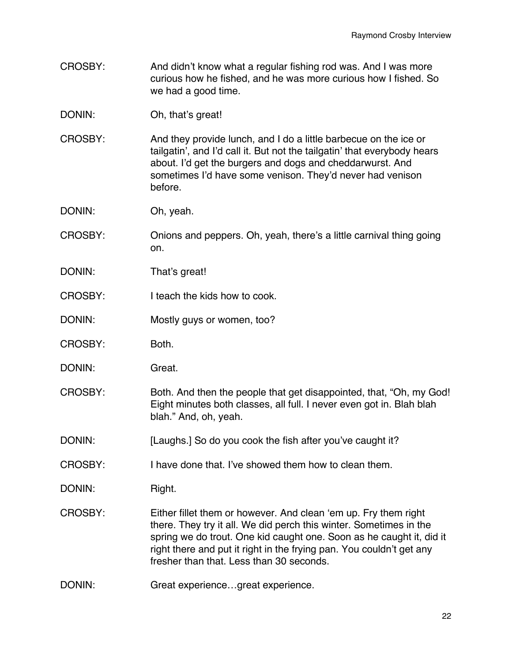- CROSBY: And didn't know what a regular fishing rod was. And I was more curious how he fished, and he was more curious how I fished. So we had a good time.
- DONIN: Oh, that's great!
- CROSBY: And they provide lunch, and I do a little barbecue on the ice or tailgatin', and I'd call it. But not the tailgatin' that everybody hears about. I'd get the burgers and dogs and cheddarwurst. And sometimes I'd have some venison. They'd never had venison before.
- DONIN: Oh, yeah.
- CROSBY: Onions and peppers. Oh, yeah, there's a little carnival thing going on.
- DONIN: That's great!
- CROSBY: I teach the kids how to cook.
- DONIN: Mostly guys or women, too?
- CROSBY: Both.
- DONIN: Great.
- CROSBY: Both. And then the people that get disappointed, that, "Oh, my God! Eight minutes both classes, all full. I never even got in. Blah blah blah." And, oh, yeah.
- DONIN: [Laughs.] So do you cook the fish after you've caught it?
- CROSBY: I have done that. I've showed them how to clean them.

DONIN: Right.

- CROSBY: Either fillet them or however. And clean 'em up. Fry them right there. They try it all. We did perch this winter. Sometimes in the spring we do trout. One kid caught one. Soon as he caught it, did it right there and put it right in the frying pan. You couldn't get any fresher than that. Less than 30 seconds.
- DONIN: Great experience...great experience.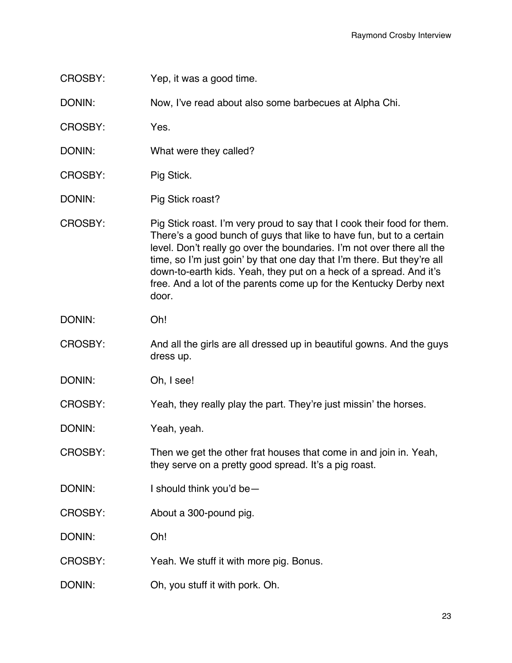CROSBY: Yep, it was a good time.

DONIN: Now, I've read about also some barbecues at Alpha Chi.

CROSBY: Yes.

- DONIN: What were they called?
- CROSBY: Pig Stick.
- DONIN: Pig Stick roast?
- CROSBY: Pig Stick roast. I'm very proud to say that I cook their food for them. There's a good bunch of guys that like to have fun, but to a certain level. Don't really go over the boundaries. I'm not over there all the time, so I'm just goin' by that one day that I'm there. But they're all down-to-earth kids. Yeah, they put on a heck of a spread. And it's free. And a lot of the parents come up for the Kentucky Derby next door.
- DONIN: Oh!
- CROSBY: And all the girls are all dressed up in beautiful gowns. And the guys dress up.
- DONIN: Oh, I see!

CROSBY: Yeah, they really play the part. They're just missin' the horses.

DONIN: Yeah, yeah.

CROSBY: Then we get the other frat houses that come in and join in. Yeah, they serve on a pretty good spread. It's a pig roast.

- DONIN: I should think you'd be—
- CROSBY: About a 300-pound pig.

DONIN: Oh!

CROSBY: Yeah. We stuff it with more pig. Bonus.

DONIN: Oh, you stuff it with pork. Oh.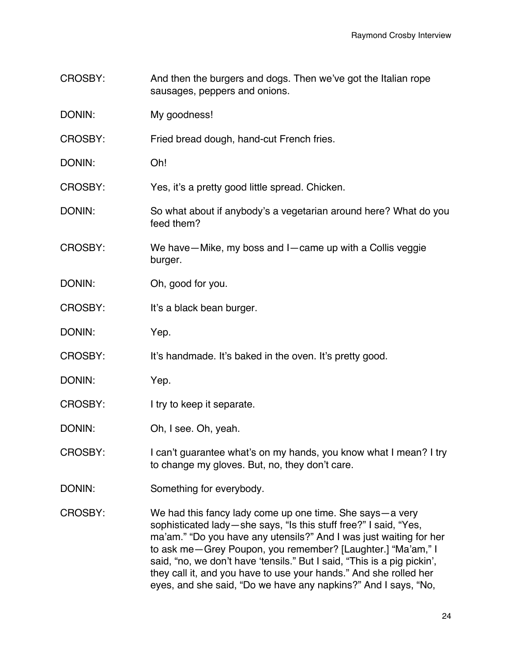- CROSBY: And then the burgers and dogs. Then we've got the Italian rope sausages, peppers and onions.
- DONIN: My goodness!
- CROSBY: Fried bread dough, hand-cut French fries.
- DONIN: Oh!
- CROSBY: Yes, it's a pretty good little spread. Chicken.
- DONIN: So what about if anybody's a vegetarian around here? What do you feed them?
- CROSBY: We have—Mike, my boss and I—came up with a Collis veggie burger.
- DONIN: Oh, good for you.
- CROSBY: It's a black bean burger.
- DONIN: Yep.
- CROSBY: It's handmade. It's baked in the oven. It's pretty good.
- DONIN: Yep.
- CROSBY: I try to keep it separate.
- DONIN: Oh, I see. Oh, yeah.
- CROSBY: I can't guarantee what's on my hands, you know what I mean? I try to change my gloves. But, no, they don't care.
- DONIN: Something for everybody.
- CROSBY: We had this fancy lady come up one time. She says—a very sophisticated lady—she says, "Is this stuff free?" I said, "Yes, ma'am." "Do you have any utensils?" And I was just waiting for her to ask me—Grey Poupon, you remember? [Laughter.] "Ma'am," I said, "no, we don't have 'tensils." But I said, "This is a pig pickin', they call it, and you have to use your hands." And she rolled her eyes, and she said, "Do we have any napkins?" And I says, "No,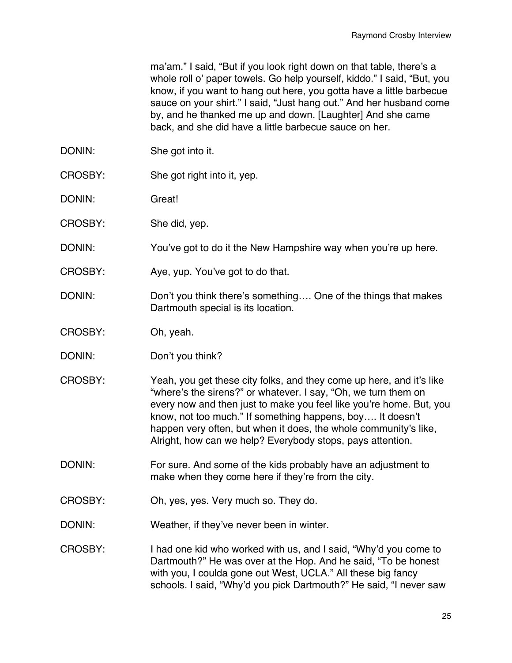ma'am." I said, "But if you look right down on that table, there's a whole roll o' paper towels. Go help yourself, kiddo." I said, "But, you know, if you want to hang out here, you gotta have a little barbecue sauce on your shirt." I said, "Just hang out." And her husband come by, and he thanked me up and down. [Laughter] And she came back, and she did have a little barbecue sauce on her.

- DONIN: She got into it.
- CROSBY: She got right into it, yep.
- DONIN: Great!
- CROSBY: She did, yep.
- DONIN: You've got to do it the New Hampshire way when you're up here.
- CROSBY: Aye, yup. You've got to do that.
- DONIN: DON't you think there's something.... One of the things that makes Dartmouth special is its location.
- CROSBY: Oh, yeah.
- DONIN: Don't you think?
- CROSBY: Yeah, you get these city folks, and they come up here, and it's like "where's the sirens?" or whatever. I say, "Oh, we turn them on every now and then just to make you feel like you're home. But, you know, not too much." If something happens, boy…. It doesn't happen very often, but when it does, the whole community's like, Alright, how can we help? Everybody stops, pays attention.
- DONIN: For sure. And some of the kids probably have an adjustment to make when they come here if they're from the city.
- CROSBY: Oh, yes, yes. Very much so. They do.
- DONIN: Weather, if they've never been in winter.
- CROSBY: I had one kid who worked with us, and I said, "Why'd you come to Dartmouth?" He was over at the Hop. And he said, "To be honest with you, I coulda gone out West, UCLA." All these big fancy schools. I said, "Why'd you pick Dartmouth?" He said, "I never saw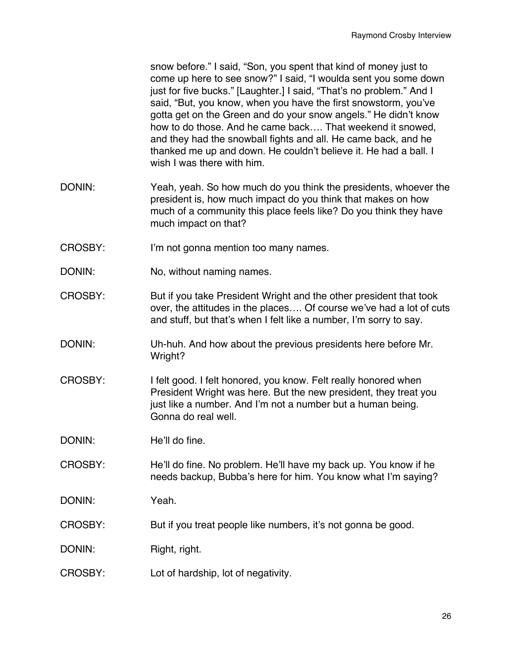snow before." I said, "Son, you spent that kind of money just to come up here to see snow?" I said, "I woulda sent you some down just for five bucks." [Laughter.] I said, "That's no problem." And I said, "But, you know, when you have the first snowstorm, you've gotta get on the Green and do your snow angels." He didn't know how to do those. And he came back…. That weekend it snowed, and they had the snowball fights and all. He came back, and he thanked me up and down. He couldn't believe it. He had a ball. I wish I was there with him.

- DONIN: Yeah, yeah. So how much do you think the presidents, whoever the president is, how much impact do you think that makes on how much of a community this place feels like? Do you think they have much impact on that?
- CROSBY: I'm not gonna mention too many names.
- DONIN: No, without naming names.
- CROSBY: But if you take President Wright and the other president that took over, the attitudes in the places…. Of course we've had a lot of cuts and stuff, but that's when I felt like a number, I'm sorry to say.
- DONIN: Uh-huh. And how about the previous presidents here before Mr. Wright?
- CROSBY: I felt good. I felt honored, you know. Felt really honored when President Wright was here. But the new president, they treat you just like a number. And I'm not a number but a human being. Gonna do real well.

DONIN: He'll do fine.

- CROSBY: He'll do fine. No problem. He'll have my back up. You know if he needs backup, Bubba's here for him. You know what I'm saying?
- DONIN: Yeah.
- CROSBY: But if you treat people like numbers, it's not gonna be good.
- DONIN: Right, right.
- CROSBY: Lot of hardship, lot of negativity.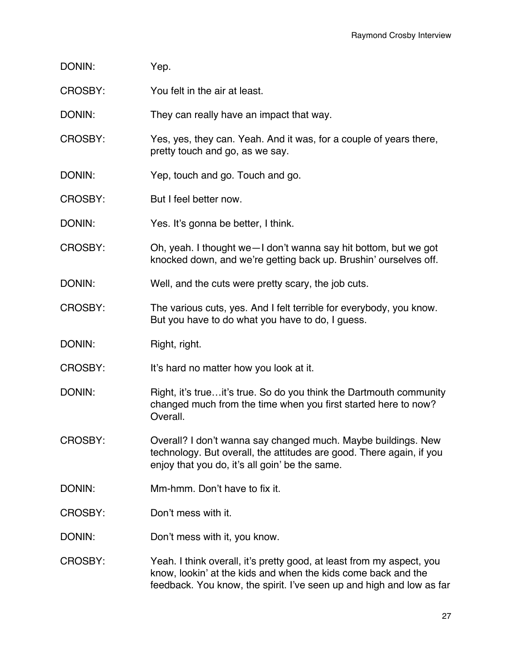- DONIN: Yep.
- CROSBY: You felt in the air at least.

DONIN: They can really have an impact that way.

- CROSBY: Yes, yes, they can. Yeah. And it was, for a couple of years there, pretty touch and go, as we say.
- DONIN: Yep, touch and go. Touch and go.
- CROSBY: But I feel better now.
- DONIN: Yes. It's gonna be better, I think.
- CROSBY: Oh, yeah. I thought we—I don't wanna say hit bottom, but we got knocked down, and we're getting back up. Brushin' ourselves off.
- DONIN: Well, and the cuts were pretty scary, the job cuts.
- CROSBY: The various cuts, yes. And I felt terrible for everybody, you know. But you have to do what you have to do, I guess.
- DONIN: Right, right.
- CROSBY: It's hard no matter how you look at it.
- DONIN: Right, it's true...it's true. So do you think the Dartmouth community changed much from the time when you first started here to now? Overall.
- CROSBY: Overall? I don't wanna say changed much. Maybe buildings. New technology. But overall, the attitudes are good. There again, if you enjoy that you do, it's all goin' be the same.
- DONIN: Mm-hmm. Don't have to fix it.
- CROSBY: Don't mess with it.
- DONIN: Don't mess with it, you know.
- CROSBY: Yeah. I think overall, it's pretty good, at least from my aspect, you know, lookin' at the kids and when the kids come back and the feedback. You know, the spirit. I've seen up and high and low as far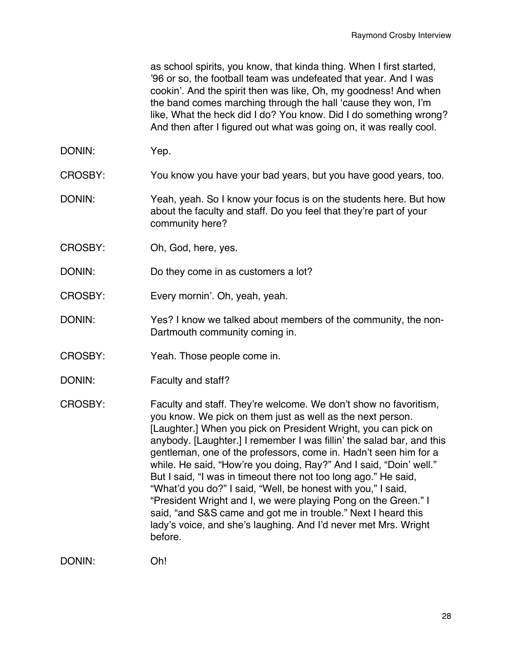as school spirits, you know, that kinda thing. When I first started, '96 or so, the football team was undefeated that year. And I was cookin'. And the spirit then was like, Oh, my goodness! And when the band comes marching through the hall 'cause they won, I'm like, What the heck did I do? You know. Did I do something wrong? And then after I figured out what was going on, it was really cool.

- DONIN: Yep.
- CROSBY: You know you have your bad years, but you have good years, too.
- DONIN: Yeah, yeah. So I know your focus is on the students here. But how about the faculty and staff. Do you feel that they're part of your community here?
- CROSBY: Oh, God, here, yes.
- DONIN: Do they come in as customers a lot?
- CROSBY: Every mornin'. Oh, yeah, yeah.
- DONIN: Yes? I know we talked about members of the community, the non-Dartmouth community coming in.
- CROSBY: Yeah. Those people come in.
- DONIN: Faculty and staff?
- CROSBY: Faculty and staff. They're welcome. We don't show no favoritism, you know. We pick on them just as well as the next person. [Laughter.] When you pick on President Wright, you can pick on anybody. [Laughter.] I remember I was fillin' the salad bar, and this gentleman, one of the professors, come in. Hadn't seen him for a while. He said, "How're you doing, Ray?" And I said, "Doin' well." But I said, "I was in timeout there not too long ago." He said, "What'd you do?" I said, "Well, be honest with you," I said, "President Wright and I, we were playing Pong on the Green." I said, "and S&S came and got me in trouble." Next I heard this lady's voice, and she's laughing. And I'd never met Mrs. Wright before.

DONIN: Oh!